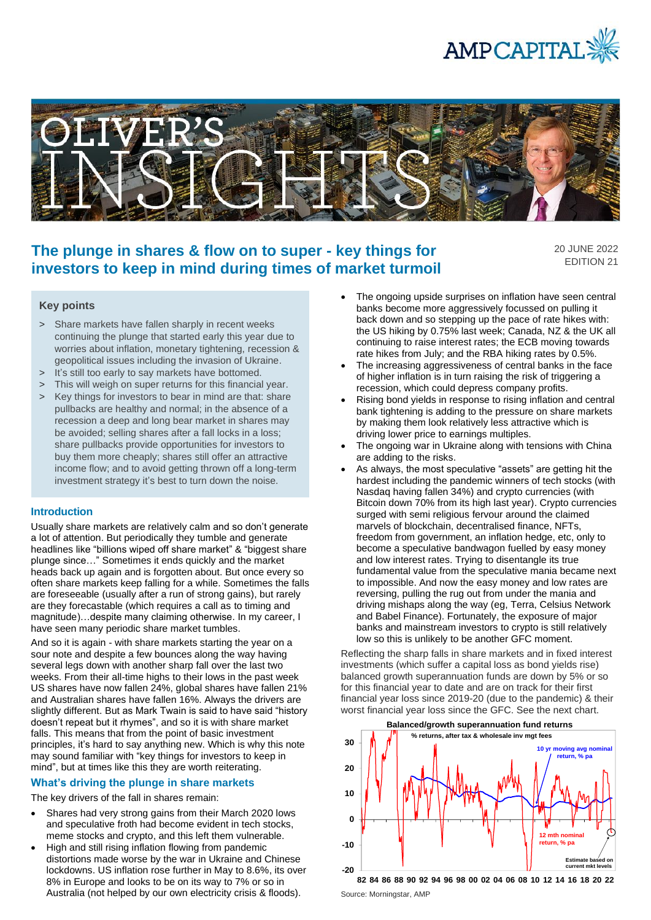



# **The plunge in shares & flow on to super - key things for investors to keep in mind during times of market turmoil**

20 JUNE 2022 EDITION 21

## **Key points**

- > Share markets have fallen sharply in recent weeks continuing the plunge that started early this year due to worries about inflation, monetary tightening, recession & geopolitical issues including the invasion of Ukraine.
- > It's still too early to say markets have bottomed.
- > This will weigh on super returns for this financial year.
- > Key things for investors to bear in mind are that: share pullbacks are healthy and normal; in the absence of a recession a deep and long bear market in shares may be avoided; selling shares after a fall locks in a loss; share pullbacks provide opportunities for investors to buy them more cheaply; shares still offer an attractive income flow; and to avoid getting thrown off a long-term investment strategy it's best to turn down the noise.

### **Introduction**

Usually share markets are relatively calm and so don't generate a lot of attention. But periodically they tumble and generate headlines like "billions wiped off share market" & "biggest share plunge since…" Sometimes it ends quickly and the market heads back up again and is forgotten about. But once every so often share markets keep falling for a while. Sometimes the falls are foreseeable (usually after a run of strong gains), but rarely are they forecastable (which requires a call as to timing and magnitude)…despite many claiming otherwise. In my career, I have seen many periodic share market tumbles.

And so it is again - with share markets starting the year on a sour note and despite a few bounces along the way having several legs down with another sharp fall over the last two weeks. From their all-time highs to their lows in the past week US shares have now fallen 24%, global shares have fallen 21% and Australian shares have fallen 16%. Always the drivers are slightly different. But as Mark Twain is said to have said "history doesn't repeat but it rhymes", and so it is with share market falls. This means that from the point of basic investment principles, it's hard to say anything new. Which is why this note may sound familiar with "key things for investors to keep in mind", but at times like this they are worth reiterating.

### **What's driving the plunge in share markets**

The key drivers of the fall in shares remain:

- Shares had very strong gains from their March 2020 lows and speculative froth had become evident in tech stocks, meme stocks and crypto, and this left them vulnerable.
- High and still rising inflation flowing from pandemic distortions made worse by the war in Ukraine and Chinese lockdowns. US inflation rose further in May to 8.6%, its over 8% in Europe and looks to be on its way to 7% or so in Australia (not helped by our own electricity crisis & floods).
- The ongoing upside surprises on inflation have seen central banks become more aggressively focussed on pulling it back down and so stepping up the pace of rate hikes with: the US hiking by 0.75% last week; Canada, NZ & the UK all continuing to raise interest rates; the ECB moving towards rate hikes from July; and the RBA hiking rates by 0.5%.
- The increasing aggressiveness of central banks in the face of higher inflation is in turn raising the risk of triggering a recession, which could depress company profits.
- Rising bond yields in response to rising inflation and central bank tightening is adding to the pressure on share markets by making them look relatively less attractive which is driving lower price to earnings multiples.
- The ongoing war in Ukraine along with tensions with China are adding to the risks.
- As always, the most speculative "assets" are getting hit the hardest including the pandemic winners of tech stocks (with Nasdaq having fallen 34%) and crypto currencies (with Bitcoin down 70% from its high last year). Crypto currencies surged with semi religious fervour around the claimed marvels of blockchain, decentralised finance, NFTs, freedom from government, an inflation hedge, etc, only to become a speculative bandwagon fuelled by easy money and low interest rates. Trying to disentangle its true fundamental value from the speculative mania became next to impossible. And now the easy money and low rates are reversing, pulling the rug out from under the mania and driving mishaps along the way (eg, Terra, Celsius Network and Babel Finance). Fortunately, the exposure of major banks and mainstream investors to crypto is still relatively low so this is unlikely to be another GFC moment.

Reflecting the sharp falls in share markets and in fixed interest investments (which suffer a capital loss as bond yields rise) balanced growth superannuation funds are down by 5% or so for this financial year to date and are on track for their first financial year loss since 2019-20 (due to the pandemic) & their worst financial year loss since the GFC. See the next chart.



Source: Morningstar, AMP